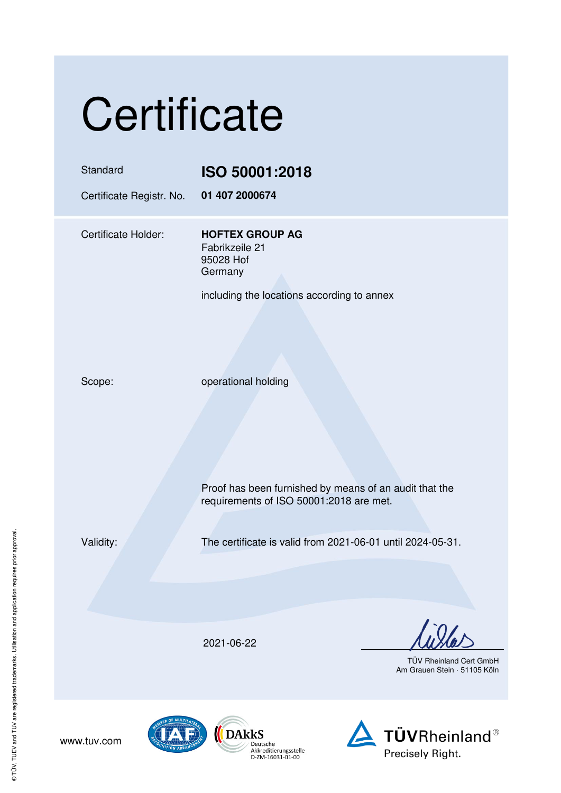|  | Certificate |
|--|-------------|
|  |             |

| Standard<br>Certificate Registr. No. | ISO 50001:2018<br>01 407 2000674                                                                                         |
|--------------------------------------|--------------------------------------------------------------------------------------------------------------------------|
| Certificate Holder:                  | <b>HOFTEX GROUP AG</b><br>Fabrikzeile 21<br>95028 Hof<br>Germany<br>including the locations according to annex           |
| Scope:                               | operational holding<br>Proof has been furnished by means of an audit that the<br>requirements of ISO 50001:2018 are met. |
| Validity:                            | The certificate is valid from 2021-06-01 until 2024-05-31.                                                               |
|                                      | 2021-06-22<br><b>TÜV Rheinland Cert GmbH</b><br>Am Grauen Stein · 51105 Köln                                             |
|                                      |                                                                                                                          |





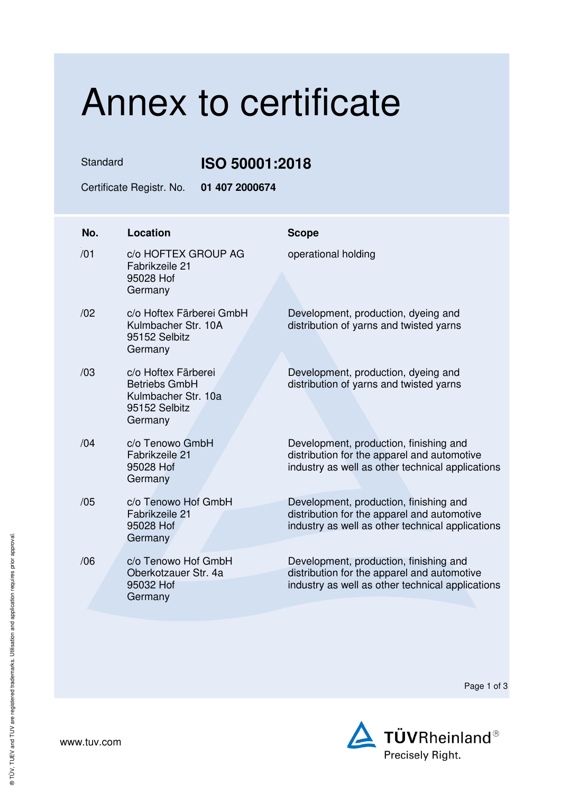## Annex to certificate

Standard **ISO 50001:2018** 

Certificate Registr. No. **01 407 2000674** 

| No. | <b>Location</b>                                                                                | <b>Scope</b>                                                                                                                              |
|-----|------------------------------------------------------------------------------------------------|-------------------------------------------------------------------------------------------------------------------------------------------|
| /01 | c/o HOFTEX GROUP AG<br>Fabrikzeile 21<br>95028 Hof<br>Germany                                  | operational holding                                                                                                                       |
| /02 | c/o Hoftex Färberei GmbH<br>Kulmbacher Str. 10A<br>95152 Selbitz<br>Germany                    | Development, production, dyeing and<br>distribution of yarns and twisted yarns                                                            |
| /03 | c/o Hoftex Färberei<br><b>Betriebs GmbH</b><br>Kulmbacher Str. 10a<br>95152 Selbitz<br>Germany | Development, production, dyeing and<br>distribution of yarns and twisted yarns                                                            |
| /04 | c/o Tenowo GmbH<br>Fabrikzeile 21<br>95028 Hof<br>Germany                                      | Development, production, finishing and<br>distribution for the apparel and automotive<br>industry as well as other technical applications |
| /05 | c/o Tenowo Hof GmbH<br>Fabrikzeile 21<br>95028 Hof<br>Germany                                  | Development, production, finishing and<br>distribution for the apparel and automotive<br>industry as well as other technical applications |
| /06 | c/o Tenowo Hof GmbH<br>Oberkotzauer Str. 4a<br>95032 Hof<br>Germany                            | Development, production, finishing and<br>distribution for the apparel and automotive<br>industry as well as other technical applications |

Page 1 of 3

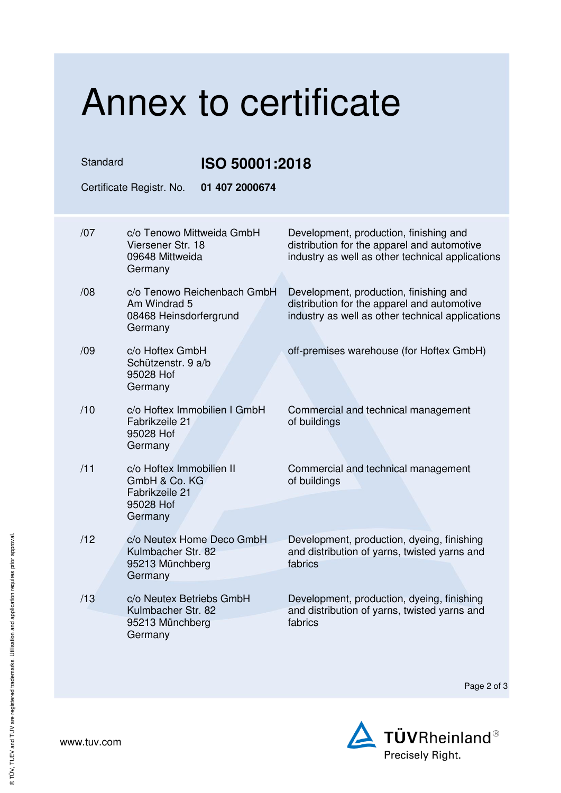## Annex to certificate Standard **ISO 50001:2018**  Certificate Registr. No. **01 407 2000674**  /07 c/o Tenowo Mittweida GmbH Viersener Str. 18 09648 Mittweida Germany Development, production, finishing and distribution for the apparel and automotive industry as well as other technical applications /08 c/o Tenowo Reichenbach GmbH Am Windrad 5 08468 Heinsdorfergrund Germany Development, production, finishing and distribution for the apparel and automotive industry as well as other technical applications /09 c/o Hoftex GmbH Schützenstr. 9 a/b 95028 Hof Germany off-premises warehouse (for Hoftex GmbH) /10 c/o Hoftex Immobilien I GmbH Fabrikzeile 21 95028 Hof Germany Commercial and technical management of buildings /11 c/o Hoftex Immobilien II GmbH & Co. KG Fabrikzeile 21 95028 Hof **Germany** Commercial and technical management of buildings /12 c/o Neutex Home Deco GmbH Kulmbacher Str. 82 95213 Münchberg Germany Development, production, dyeing, finishing and distribution of yarns, twisted yarns and fabrics /13 c/o Neutex Betriebs GmbH Kulmbacher Str. 82 95213 Münchberg **Germany** Development, production, dyeing, finishing and distribution of yarns, twisted yarns and fabrics

Page 2 of 3



www.tuv.com